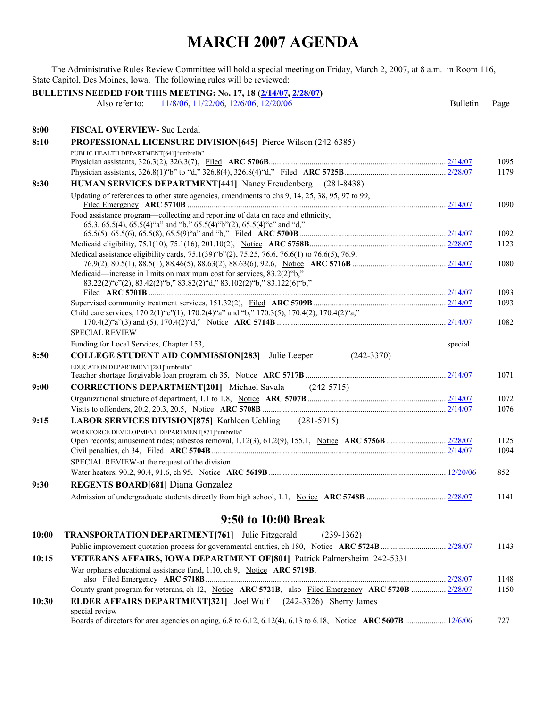## **MARCH 2007 AGENDA**

The Administrative Rules Review Committee will hold a special meeting on Friday, March 2, 2007, at 8 a.m. in Room 116, State Capitol, Des Moines, Iowa. The following rules will be reviewed:

| BULLETINS NEEDED FOR THIS MEETING: No. 17, 18 (2/14/07, 2/28/07) |                                                                                                                  |                 |              |  |  |
|------------------------------------------------------------------|------------------------------------------------------------------------------------------------------------------|-----------------|--------------|--|--|
|                                                                  | 11/8/06, 11/22/06, 12/6/06, 12/20/06<br>Also refer to:                                                           | <b>Bulletin</b> | Page         |  |  |
| 8:00                                                             | <b>FISCAL OVERVIEW- Sue Lerdal</b>                                                                               |                 |              |  |  |
| 8:10                                                             |                                                                                                                  |                 |              |  |  |
|                                                                  | <b>PROFESSIONAL LICENSURE DIVISION [645]</b> Pierce Wilson (242-6385)<br>PUBLIC HEALTH DEPARTMENT[641]"umbrella" |                 |              |  |  |
|                                                                  |                                                                                                                  |                 | 1095         |  |  |
|                                                                  |                                                                                                                  |                 | 1179         |  |  |
| 8:30                                                             | HUMAN SERVICES DEPARTMENT[441] Nancy Freudenberg (281-8438)                                                      |                 |              |  |  |
|                                                                  | Updating of references to other state agencies, amendments to chs 9, 14, 25, 38, 95, 97 to 99,                   |                 |              |  |  |
|                                                                  |                                                                                                                  |                 | 1090         |  |  |
|                                                                  | Food assistance program—collecting and reporting of data on race and ethnicity,                                  |                 |              |  |  |
|                                                                  | 65.3, 65.5(4), 65.5(4)"a" and "b," 65.5(4)"b"(2), 65.5(4)"c" and "d,"                                            |                 | 1092         |  |  |
|                                                                  |                                                                                                                  |                 | 1123         |  |  |
|                                                                  | Medical assistance eligibility cards, 75.1(39) "b"(2), 75.25, 76.6, 76.6(1) to 76.6(5), 76.9,                    |                 |              |  |  |
|                                                                  |                                                                                                                  |                 | 1080         |  |  |
|                                                                  | Medicaid—increase in limits on maximum cost for services, 83.2(2)"b,"                                            |                 |              |  |  |
|                                                                  | 83.22(2)"c"(2), 83.42(2)"b," 83.82(2)"d," 83.102(2)"b," 83.122(6)"b,"                                            |                 |              |  |  |
|                                                                  |                                                                                                                  |                 | 1093         |  |  |
|                                                                  | Child care services, 170.2(1)"c"(1), 170.2(4)"a" and "b," 170.3(5), 170.4(2), 170.4(2)"a,"                       |                 | 1093         |  |  |
|                                                                  |                                                                                                                  |                 | 1082         |  |  |
|                                                                  | <b>SPECIAL REVIEW</b>                                                                                            |                 |              |  |  |
|                                                                  | Funding for Local Services, Chapter 153,                                                                         | special         |              |  |  |
| 8:50                                                             | <b>COLLEGE STUDENT AID COMMISSION[283]</b> Julie Leeper<br>$(242 - 3370)$                                        |                 |              |  |  |
|                                                                  | EDUCATION DEPARTMENT[281]"umbrella"                                                                              |                 |              |  |  |
|                                                                  |                                                                                                                  |                 | 1071         |  |  |
| 9:00                                                             | <b>CORRECTIONS DEPARTMENT[201]</b> Michael Savala (242-5715)                                                     |                 |              |  |  |
|                                                                  |                                                                                                                  |                 | 1072         |  |  |
|                                                                  |                                                                                                                  |                 | 1076         |  |  |
| 9:15                                                             | <b>LABOR SERVICES DIVISION [875]</b> Kathleen Uehling (281-5915)                                                 |                 |              |  |  |
|                                                                  | WORKFORCE DEVELOPMENT DEPARTMENT[871]"umbrella"                                                                  |                 |              |  |  |
|                                                                  |                                                                                                                  |                 | 1125<br>1094 |  |  |
|                                                                  | SPECIAL REVIEW-at the request of the division                                                                    |                 |              |  |  |
|                                                                  |                                                                                                                  |                 | 852          |  |  |
| 9:30                                                             | <b>REGENTS BOARD[681] Diana Gonzalez</b>                                                                         |                 |              |  |  |
|                                                                  |                                                                                                                  |                 | 1141         |  |  |
|                                                                  |                                                                                                                  |                 |              |  |  |
|                                                                  | 9:50 to 10:00 Break                                                                                              |                 |              |  |  |
| 10:00                                                            | TRANSPORTATION DEPARTMENT[761] Julie Fitzgerald<br>$(239-1362)$                                                  |                 |              |  |  |
|                                                                  |                                                                                                                  |                 | 1143         |  |  |
| 10:15                                                            | VETERANS AFFAIRS, IOWA DEPARTMENT OF [801] Patrick Palmersheim 242-5331                                          |                 |              |  |  |
|                                                                  | War orphans educational assistance fund, 1.10, ch 9, Notice ARC 5719B,                                           |                 |              |  |  |
|                                                                  |                                                                                                                  |                 | 1148         |  |  |
|                                                                  | County grant program for veterans, ch 12, Notice ARC 5721B, also Filed Emergency ARC 5720B  2/28/07              |                 | 1150         |  |  |
| 10:30                                                            | <b>ELDER AFFAIRS DEPARTMENT[321]</b> Joel Wulf (242-3326) Sherry James<br>special review                         |                 |              |  |  |
|                                                                  |                                                                                                                  |                 | 727          |  |  |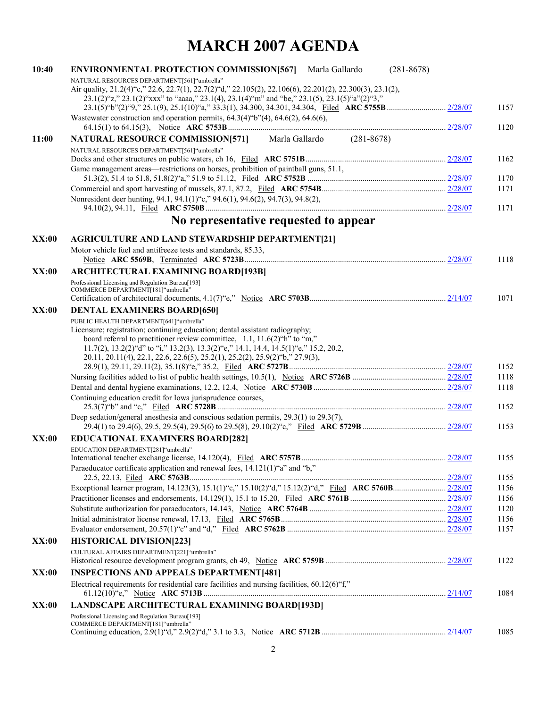## **MARCH 2007 AGENDA**

| 10:40        | <b>ENVIRONMENTAL PROTECTION COMMISSION[567]</b><br>$(281 - 8678)$<br>Marla Gallardo                                                                                                                                                             |              |
|--------------|-------------------------------------------------------------------------------------------------------------------------------------------------------------------------------------------------------------------------------------------------|--------------|
|              | NATURAL RESOURCES DEPARTMENT[561]"umbrella"                                                                                                                                                                                                     |              |
|              | Air quality, 21.2(4) "c," 22.6, 22.7(1), 22.7(2) "d," 22.105(2), 22.106(6), 22.201(2), 22.300(3), 23.1(2),<br>$23.1(2)^{4}z$ ," $23.1(2)^{4}x$ xx" to "aaaa," $23.1(4)$ , $23.1(4)^{4}m$ " and "be," $23.1(5)$ , $23.1(5)^{4}a$ " $(2)^{4}3$ ," |              |
|              |                                                                                                                                                                                                                                                 | 1157         |
|              | Wastewater construction and operation permits, $64.3(4)$ "b" $(4)$ , $64.6(2)$ , $64.6(6)$ ,                                                                                                                                                    |              |
|              |                                                                                                                                                                                                                                                 | 1120         |
| 11:00        | <b>NATURAL RESOURCE COMMISSION[571]</b> Marla Gallardo (281-8678)                                                                                                                                                                               |              |
|              | NATURAL RESOURCES DEPARTMENT[561]"umbrella"                                                                                                                                                                                                     |              |
|              |                                                                                                                                                                                                                                                 | 1162         |
|              | Game management areas—restrictions on horses, prohibition of paintball guns, 51.1,                                                                                                                                                              | 1170         |
|              |                                                                                                                                                                                                                                                 | 1171         |
|              | Nonresident deer hunting, 94.1, 94.1(1) "c," 94.6(1), 94.6(2), 94.7(3), 94.8(2),                                                                                                                                                                |              |
|              |                                                                                                                                                                                                                                                 | 1171         |
|              | No representative requested to appear                                                                                                                                                                                                           |              |
| <b>XX:00</b> | <b>AGRICULTURE AND LAND STEWARDSHIP DEPARTMENT[21]</b>                                                                                                                                                                                          |              |
|              | Motor vehicle fuel and antifreeze tests and standards, 85.33,                                                                                                                                                                                   |              |
|              |                                                                                                                                                                                                                                                 | 1118         |
| <b>XX:00</b> | <b>ARCHITECTURAL EXAMINING BOARD[193B]</b>                                                                                                                                                                                                      |              |
|              | Professional Licensing and Regulation Bureau[193]                                                                                                                                                                                               |              |
|              | COMMERCE DEPARTMENT[181] "umbrella"                                                                                                                                                                                                             | 1071         |
|              |                                                                                                                                                                                                                                                 |              |
| <b>XX:00</b> | <b>DENTAL EXAMINERS BOARD[650]</b><br>PUBLIC HEALTH DEPARTMENT[641]"umbrella"                                                                                                                                                                   |              |
|              | Licensure; registration; continuing education; dental assistant radiography;                                                                                                                                                                    |              |
|              | board referral to practitioner review committee, 1.1, 11.6(2) "h" to "m,"                                                                                                                                                                       |              |
|              | 11.7(2), 13.2(2) "d" to "i," 13.2(3), 13.3(2) "e," 14.1, 14.4, 14.5(1) "e," 15.2, 20.2,                                                                                                                                                         |              |
|              | 20.11, 20.11(4), 22.1, 22.6, 22.6(5), 25.2(1), 25.2(2), 25.9(2) "b," 27.9(3),                                                                                                                                                                   |              |
|              |                                                                                                                                                                                                                                                 | 1152<br>1118 |
|              |                                                                                                                                                                                                                                                 | 1118         |
|              | Continuing education credit for Iowa jurisprudence courses,                                                                                                                                                                                     |              |
|              |                                                                                                                                                                                                                                                 | 1152         |
|              | Deep sedation/general anesthesia and conscious sedation permits, $29.3(1)$ to $29.3(7)$ ,                                                                                                                                                       |              |
|              |                                                                                                                                                                                                                                                 | 1153         |
| <b>XX:00</b> | <b>EDUCATIONAL EXAMINERS BOARD[282]</b>                                                                                                                                                                                                         |              |
|              | EDUCATION DEPARTMENT[281]"umbrella"                                                                                                                                                                                                             |              |
|              | Paraeducator certificate application and renewal fees, 14.121(1)"a" and "b,"                                                                                                                                                                    | 1155         |
|              |                                                                                                                                                                                                                                                 | 1155         |
|              |                                                                                                                                                                                                                                                 | 1156         |
|              |                                                                                                                                                                                                                                                 | 1156         |
|              |                                                                                                                                                                                                                                                 | 1120         |
|              |                                                                                                                                                                                                                                                 | 1156         |
|              |                                                                                                                                                                                                                                                 | 1157         |
| <b>XX:00</b> | <b>HISTORICAL DIVISION[223]</b>                                                                                                                                                                                                                 |              |
|              | CULTURAL AFFAIRS DEPARTMENT[221]"umbrella"                                                                                                                                                                                                      | 1122         |
| XX:00        | <b>INSPECTIONS AND APPEALS DEPARTMENT[481]</b>                                                                                                                                                                                                  |              |
|              | Electrical requirements for residential care facilities and nursing facilities, 60.12(6)"f,"                                                                                                                                                    |              |
|              |                                                                                                                                                                                                                                                 | 1084         |
| <b>XX:00</b> | LANDSCAPE ARCHITECTURAL EXAMINING BOARD[193D]                                                                                                                                                                                                   |              |
|              | Professional Licensing and Regulation Bureau[193]                                                                                                                                                                                               |              |
|              | COMMERCE DEPARTMENT[181]"umbrella"                                                                                                                                                                                                              | 1085         |
|              |                                                                                                                                                                                                                                                 |              |